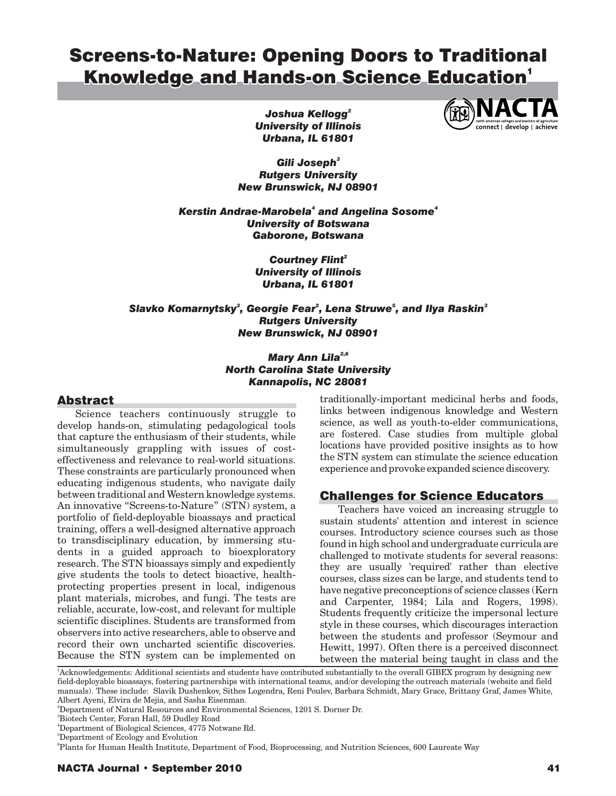# Screens-to-Nature: Opening Doors to Traditional Knowledge and Hands-on Science Education<sup>1</sup>

*Joshua Kellogg 2 Kellogg 2 University of Illinois Illinois Urbana, IL 61801 61801* 

*Gili Joseph 3 Joseph<sup>3</sup> Rutgers University University New Brunswick, NJ 08901 08901* 

*Kerstin Andrae-Marobela and Angelina Sosome 4 4 Andrae-Marobela4 Sosome4 University of Botswana Botswana Gaborone, Botswana Botswana* 

> *Courtney Flint 2 Flint<sup>2</sup> University of Illinois Illinois Urbana, IL 61801 61801*

 $S$ lavko Komarnytsky $^3$ , Georgie Fear $^2$ , Lena Struwe $^5$ , and Ilya Raskin $^3$ *Rutgers University University New Brunswick, NJ 08901 08901* 

## *Mary Ann Lila 2,6 Lila2,6 North Carolina State University University Kannapolis, NC 28081 28081*

# **Abstract**

Science teachers continuously struggle to develop hands-on, stimulating pedagological tools that capture the enthusiasm of their students, while simultaneously grappling with issues of costeffectiveness and relevance to real-world situations. These constraints are particularly pronounced when educating indigenous students, who navigate daily between traditional and Western knowledge systems. An innovative "Screens-to-Nature" (STN) system, a portfolio of field-deployable bioassays and practical training, offers a well-designed alternative approach to transdisciplinary education, by immersing students in a guided approach to bioexploratory research. The STN bioassays simply and expediently give students the tools to detect bioactive, healthprotecting properties present in local, indigenous plant materials, microbes, and fungi. The tests are reliable, accurate, low-cost, and relevant for multiple scientific disciplines. Students are transformed from observers into active researchers, able to observe and record their own uncharted scientific discoveries. Because the STN system can be implemented on

traditionally-important medicinal herbs and foods, links between indigenous knowledge and Western science, as well as youth-to-elder communications, are fostered. Case studies from multiple global locations have provided positive insights as to how the STN system can stimulate the science education experience and provoke expanded science discovery.

# Challenges for Science Educators

Teachers have voiced an increasing struggle to sustain students' attention and interest in science courses. Introductory science courses such as those found in high school and undergraduate curricula are challenged to motivate students for several reasons: they are usually 'required' rather than elective courses, class sizes can be large, and students tend to have negative preconceptions of science classes (Kern and Carpenter, 1984; Lila and Rogers, 1998). Students frequently criticize the impersonal lecture style in these courses, which discourages interaction between the students and professor (Seymour and Hewitt, 1997). Often there is a perceived disconnect

between the material being taught in class and the 1.<br>
<sup>1</sup>Acknowledgements: Additional scientists and students have contributed substantially to the overall GIBEX program by designing new field-deployable bioassays, fostering partnerships with international teams, and/or developing the outreach materials (website and field manuals). These include: Slavik Dushenkov, Sithes Logendra, Reni Poulev, Barbara Schmidt, Mary Grace, Brittany Graf, James White, Albert Ayeni, Elvira de Mejia, and Sasha Eisenman.

2 Department of Natural Resources and Environmental Sciences, 1201 S. Dorner Dr.

3 Biotech Center, Foran Hall, 59 Dudley Road

5 Department of Ecology and Evolution

6 Plants for Human Health Institute, Department of Food, Bioprocessing, and Nutrition Sciences, 600 Laureate Way



<sup>4</sup> Department of Biological Sciences, 4775 Notwane Rd.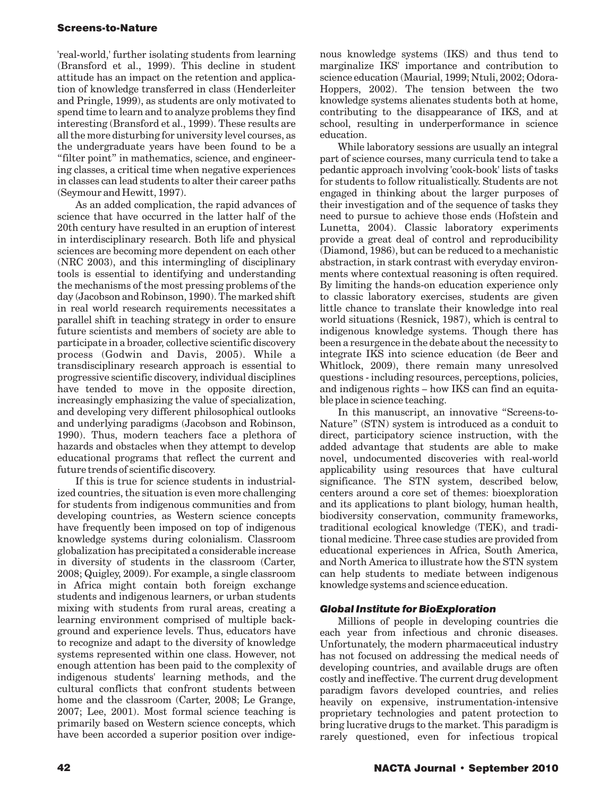'real-world,' further isolating students from learning (Bransford et al., 1999). This decline in student attitude has an impact on the retention and application of knowledge transferred in class (Henderleiter and Pringle, 1999), as students are only motivated to spend time to learn and to analyze problems they find interesting (Bransford et al., 1999). These results are all the more disturbing for university level courses, as the undergraduate years have been found to be a "filter point" in mathematics, science, and engineering classes, a critical time when negative experiences in classes can lead students to alter their career paths (Seymour and Hewitt, 1997).

As an added complication, the rapid advances of science that have occurred in the latter half of the 20th century have resulted in an eruption of interest in interdisciplinary research. Both life and physical sciences are becoming more dependent on each other (NRC 2003), and this intermingling of disciplinary tools is essential to identifying and understanding the mechanisms of the most pressing problems of the day (Jacobson and Robinson, 1990). The marked shift in real world research requirements necessitates a parallel shift in teaching strategy in order to ensure future scientists and members of society are able to participate in a broader, collective scientific discovery process (Godwin and Davis, 2005). While a transdisciplinary research approach is essential to progressive scientific discovery, individual disciplines have tended to move in the opposite direction, increasingly emphasizing the value of specialization, and developing very different philosophical outlooks and underlying paradigms (Jacobson and Robinson, 1990). Thus, modern teachers face a plethora of hazards and obstacles when they attempt to develop educational programs that reflect the current and future trends of scientific discovery.

If this is true for science students in industrialized countries, the situation is even more challenging for students from indigenous communities and from developing countries, as Western science concepts have frequently been imposed on top of indigenous knowledge systems during colonialism. Classroom globalization has precipitated a considerable increase in diversity of students in the classroom (Carter, 2008; Quigley, 2009). For example, a single classroom in Africa might contain both foreign exchange students and indigenous learners, or urban students mixing with students from rural areas, creating a learning environment comprised of multiple background and experience levels. Thus, educators have to recognize and adapt to the diversity of knowledge systems represented within one class. However, not enough attention has been paid to the complexity of indigenous students' learning methods, and the cultural conflicts that confront students between home and the classroom (Carter, 2008; Le Grange, 2007; Lee, 2001). Most formal science teaching is primarily based on Western science concepts, which have been accorded a superior position over indige-

nous knowledge systems (IKS) and thus tend to marginalize IKS' importance and contribution to science education (Maurial, 1999; Ntuli, 2002; Odora-Hoppers, 2002). The tension between the two knowledge systems alienates students both at home, contributing to the disappearance of IKS, and at school, resulting in underperformance in science education.

While laboratory sessions are usually an integral part of science courses, many curricula tend to take a pedantic approach involving 'cook-book' lists of tasks for students to follow ritualistically. Students are not engaged in thinking about the larger purposes of their investigation and of the sequence of tasks they need to pursue to achieve those ends (Hofstein and Lunetta, 2004). Classic laboratory experiments provide a great deal of control and reproducibility (Diamond, 1986), but can be reduced to a mechanistic abstraction, in stark contrast with everyday environments where contextual reasoning is often required. By limiting the hands-on education experience only to classic laboratory exercises, students are given little chance to translate their knowledge into real world situations (Resnick, 1987), which is central to indigenous knowledge systems. Though there has been a resurgence in the debate about the necessity to integrate IKS into science education (de Beer and Whitlock, 2009), there remain many unresolved questions - including resources, perceptions, policies, and indigenous rights – how IKS can find an equitable place in science teaching.

In this manuscript, an innovative "Screens-to-Nature" (STN) system is introduced as a conduit to direct, participatory science instruction, with the added advantage that students are able to make novel, undocumented discoveries with real-world applicability using resources that have cultural significance. The STN system, described below, centers around a core set of themes: bioexploration and its applications to plant biology, human health, biodiversity conservation, community frameworks, traditional ecological knowledge (TEK), and traditional medicine. Three case studies are provided from educational experiences in Africa, South America, and North America to illustrate how the STN system can help students to mediate between indigenous knowledge systems and science education.

#### *Global Institute for BioExploration*

Millions of people in developing countries die each year from infectious and chronic diseases. Unfortunately, the modern pharmaceutical industry has not focused on addressing the medical needs of developing countries, and available drugs are often costly and ineffective. The current drug development paradigm favors developed countries, and relies heavily on expensive, instrumentation-intensive proprietary technologies and patent protection to bring lucrative drugs to the market. This paradigm is rarely questioned, even for infectious tropical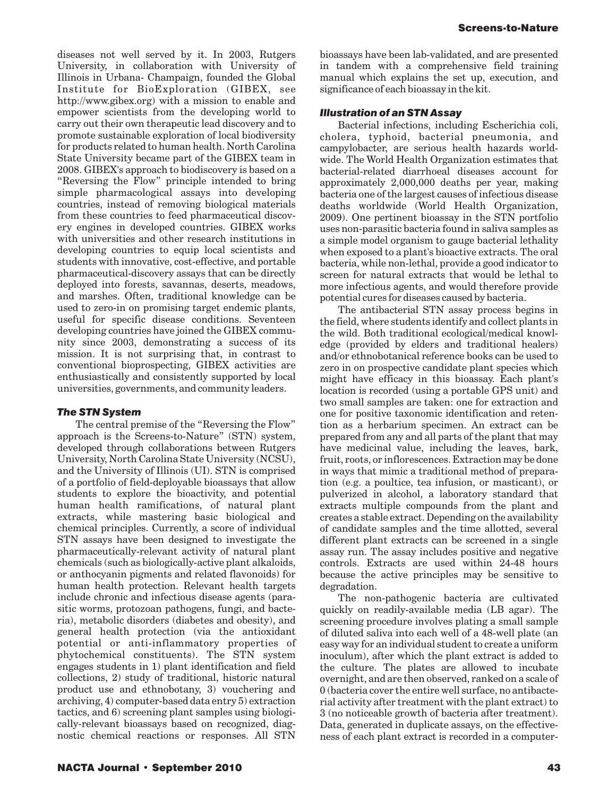diseases not well served by it. In 2003, Rutgers University, in collaboration with University of Illinois in Urbana- Champaign, founded the Global Institute for BioExploration (GIBEX, see [http://www.gibex.org\)](http://www.gibex.org) with a mission to enable and empower scientists from the developing world to carry out their own therapeutic lead discovery and to promote sustainable exploration of local biodiversity for products related to human health. North Carolina State University became part of the GIBEX team in 2008. GIBEX's approach to biodiscovery is based on a "Reversing the Flow" principle intended to bring simple pharmacological assays into developing countries, instead of removing biological materials from these countries to feed pharmaceutical discovery engines in developed countries. GIBEX works with universities and other research institutions in developing countries to equip local scientists and students with innovative, cost-effective, and portable pharmaceutical-discovery assays that can be directly deployed into forests, savannas, deserts, meadows, and marshes. Often, traditional knowledge can be used to zero-in on promising target endemic plants, useful for specific disease conditions. Seventeen developing countries have joined the GIBEX community since 2003, demonstrating a success of its mission. It is not surprising that, in contrast to conventional bioprospecting, GIBEX activities are enthusiastically and consistently supported by local universities, governments, and community leaders.

# *The STN System*

The central premise of the "Reversing the Flow" approach is the Screens-to-Nature" (STN) system, developed through collaborations between Rutgers University, North Carolina State University (NCSU), and the University of Illinois (UI). STN is comprised of a portfolio of field-deployable bioassays that allow students to explore the bioactivity, and potential human health ramifications, of natural plant extracts, while mastering basic biological and chemical principles. Currently, a score of individual STN assays have been designed to investigate the pharmaceutically-relevant activity of natural plant chemicals (such as biologically-active plant alkaloids, or anthocyanin pigments and related flavonoids) for human health protection. Relevant health targets include chronic and infectious disease agents (parasitic worms, protozoan pathogens, fungi, and bacteria), metabolic disorders (diabetes and obesity), and general health protection (via the antioxidant potential or anti-inflammatory properties of phytochemical constituents). The STN system engages students in 1) plant identification and field collections, 2) study of traditional, historic natural product use and ethnobotany, 3) vouchering and archiving, 4) computer-based data entry 5) extraction tactics, and 6) screening plant samples using biologically-relevant bioassays based on recognized, diagnostic chemical reactions or responses. All STN

bioassays have been lab-validated, and are presented in tandem with a comprehensive field training manual which explains the set up, execution, and significance of each bioassay in the kit.

## *Illustration of an STN Assay*

Bacterial infections, including Escherichia coli, cholera, typhoid, bacterial pneumonia, and campylobacter, are serious health hazards worldwide. The World Health Organization estimates that bacterial-related diarrhoeal diseases account for approximately 2,000,000 deaths per year, making bacteria one of the largest causes of infectious disease deaths worldwide (World Health Organization, 2009). One pertinent bioassay in the STN portfolio uses non-parasitic bacteria found in saliva samples as a simple model organism to gauge bacterial lethality when exposed to a plant's bioactive extracts. The oral bacteria, while non-lethal, provide a good indicator to screen for natural extracts that would be lethal to more infectious agents, and would therefore provide potential cures for diseases caused by bacteria.

The antibacterial STN assay process begins in the field, where students identify and collect plants in the wild. Both traditional ecological/medical knowledge (provided by elders and traditional healers) and/or ethnobotanical reference books can be used to zero in on prospective candidate plant species which might have efficacy in this bioassay. Each plant's location is recorded (using a portable GPS unit) and two small samples are taken: one for extraction and one for positive taxonomic identification and retention as a herbarium specimen. An extract can be prepared from any and all parts of the plant that may have medicinal value, including the leaves, bark, fruit, roots, or inflorescences. Extraction may be done in ways that mimic a traditional method of preparation (e.g. a poultice, tea infusion, or masticant), or pulverized in alcohol, a laboratory standard that extracts multiple compounds from the plant and creates a stable extract. Depending on the availability of candidate samples and the time allotted, several different plant extracts can be screened in a single assay run. The assay includes positive and negative controls. Extracts are used within 24-48 hours because the active principles may be sensitive to degradation.

The non-pathogenic bacteria are cultivated quickly on readily-available media (LB agar). The screening procedure involves plating a small sample of diluted saliva into each well of a 48-well plate (an easy way for an individual student to create a uniform inoculum), after which the plant extract is added to the culture. The plates are allowed to incubate overnight, and are then observed, ranked on a scale of 0 (bacteria cover the entire well surface, no antibacterial activity after treatment with the plant extract) to 3 (no noticeable growth of bacteria after treatment). Data, generated in duplicate assays, on the effectiveness of each plant extract is recorded in a computer-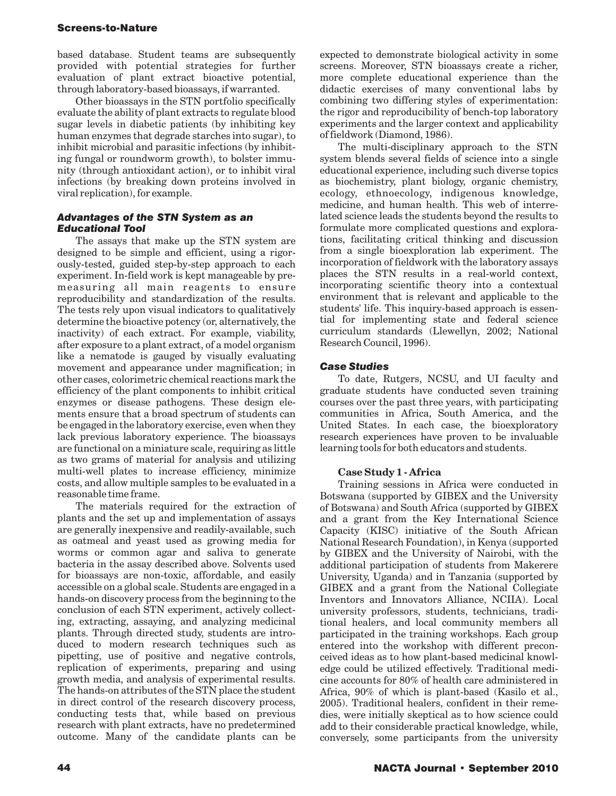based database. Student teams are subsequently provided with potential strategies for further evaluation of plant extract bioactive potential, through laboratory-based bioassays, if warranted.

Other bioassays in the STN portfolio specifically evaluate the ability of plant extracts to regulate blood sugar levels in diabetic patients (by inhibiting key human enzymes that degrade starches into sugar), to inhibit microbial and parasitic infections (by inhibiting fungal or roundworm growth), to bolster immunity (through antioxidant action), or to inhibit viral infections (by breaking down proteins involved in viral replication), for example.

#### *Advantages of the STN System as an Educational Tool*

The assays that make up the STN system are designed to be simple and efficient, using a rigorously-tested, guided step-by-step approach to each experiment. In-field work is kept manageable by premeasuring all main reagents to ensure reproducibility and standardization of the results. The tests rely upon visual indicators to qualitatively determine the bioactive potency (or, alternatively, the inactivity) of each extract. For example, viability, after exposure to a plant extract, of a model organism like a nematode is gauged by visually evaluating movement and appearance under magnification; in other cases, colorimetric chemical reactions mark the efficiency of the plant components to inhibit critical enzymes or disease pathogens. These design elements ensure that a broad spectrum of students can be engaged in the laboratory exercise, even when they lack previous laboratory experience. The bioassays are functional on a miniature scale, requiring as little as two grams of material for analysis and utilizing multi-well plates to increase efficiency, minimize costs, and allow multiple samples to be evaluated in a reasonable time frame.

The materials required for the extraction of plants and the set up and implementation of assays are generally inexpensive and readily-available, such as oatmeal and yeast used as growing media for worms or common agar and saliva to generate bacteria in the assay described above. Solvents used for bioassays are non-toxic, affordable, and easily accessible on a global scale. Students are engaged in a hands-on discovery process from the beginning to the conclusion of each STN experiment, actively collecting, extracting, assaying, and analyzing medicinal plants. Through directed study, students are introduced to modern research techniques such as pipetting, use of positive and negative controls, replication of experiments, preparing and using growth media, and analysis of experimental results. The hands-on attributes of the STN place the student in direct control of the research discovery process, conducting tests that, while based on previous research with plant extracts, have no predetermined outcome. Many of the candidate plants can be

expected to demonstrate biological activity in some screens. Moreover, STN bioassays create a richer, more complete educational experience than the didactic exercises of many conventional labs by combining two differing styles of experimentation: the rigor and reproducibility of bench-top laboratory experiments and the larger context and applicability of fieldwork (Diamond, 1986).

The multi-disciplinary approach to the STN system blends several fields of science into a single educational experience, including such diverse topics as biochemistry, plant biology, organic chemistry, ecology, ethnoecology, indigenous knowledge, medicine, and human health. This web of interrelated science leads the students beyond the results to formulate more complicated questions and explorations, facilitating critical thinking and discussion from a single bioexploration lab experiment. The incorporation of fieldwork with the laboratory assays places the STN results in a real-world context, incorporating scientific theory into a contextual environment that is relevant and applicable to the students' life. This inquiry-based approach is essential for implementing state and federal science curriculum standards (Llewellyn, 2002; National Research Council, 1996).

# *Case Studies*

To date, Rutgers, NCSU, and UI faculty and graduate students have conducted seven training courses over the past three years, with participating communities in Africa, South America, and the United States. In each case, the bioexploratory research experiences have proven to be invaluable learning tools for both educators and students.

#### **Case Study 1 - Africa**

Training sessions in Africa were conducted in Botswana (supported by GIBEX and the University of Botswana) and South Africa (supported by GIBEX and a grant from the Key International Science Capacity (KISC) initiative of the South African National Research Foundation), in Kenya (supported by GIBEX and the University of Nairobi, with the additional participation of students from Makerere University, Uganda) and in Tanzania (supported by GIBEX and a grant from the National Collegiate Inventors and Innovators Alliance, NCIIA). Local university professors, students, technicians, traditional healers, and local community members all participated in the training workshops. Each group entered into the workshop with different preconceived ideas as to how plant-based medicinal knowledge could be utilized effectively. Traditional medicine accounts for 80% of health care administered in Africa, 90% of which is plant-based (Kasilo et al., 2005). Traditional healers, confident in their remedies, were initially skeptical as to how science could add to their considerable practical knowledge, while, conversely, some participants from the university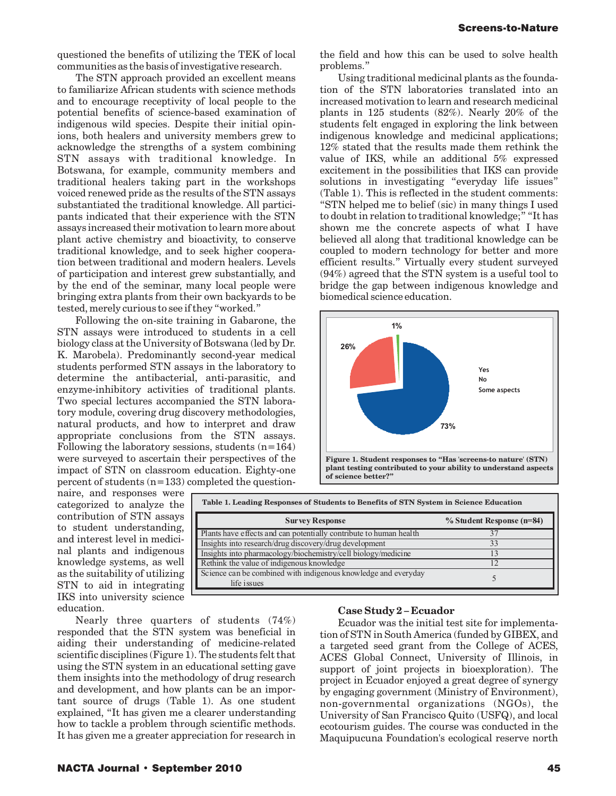questioned the benefits of utilizing the TEK of local communities as the basis of investigative research.

The STN approach provided an excellent means to familiarize African students with science methods and to encourage receptivity of local people to the potential benefits of science-based examination of indigenous wild species. Despite their initial opinions, both healers and university members grew to acknowledge the strengths of a system combining STN assays with traditional knowledge. In Botswana, for example, community members and traditional healers taking part in the workshops voiced renewed pride as the results of the STN assays substantiated the traditional knowledge. All participants indicated that their experience with the STN assays increased their motivation to learn more about plant active chemistry and bioactivity, to conserve traditional knowledge, and to seek higher cooperation between traditional and modern healers. Levels of participation and interest grew substantially, and by the end of the seminar, many local people were bringing extra plants from their own backyards to be tested, merely curious to see if they "worked."

Following the on-site training in Gabarone, the STN assays were introduced to students in a cell biology class at the University of Botswana (led by Dr. K. Marobela). Predominantly second-year medical students performed STN assays in the laboratory to determine the antibacterial, anti-parasitic, and enzyme-inhibitory activities of traditional plants. Two special lectures accompanied the STN laboratory module, covering drug discovery methodologies, natural products, and how to interpret and draw appropriate conclusions from the STN assays. Following the laboratory sessions, students (n=164) were surveyed to ascertain their perspectives of the impact of STN on classroom education. Eighty-one percent of students (n=133) completed the questionthe field and how this can be used to solve health problems."

Using traditional medicinal plants as the foundation of the STN laboratories translated into an increased motivation to learn and research medicinal plants in 125 students (82%). Nearly 20% of the students felt engaged in exploring the link between indigenous knowledge and medicinal applications; 12% stated that the results made them rethink the value of IKS, while an additional 5% expressed excitement in the possibilities that IKS can provide solutions in investigating "everyday life issues" (Table 1). This is reflected in the student comments: "STN helped me to belief (sic) in many things I used to doubt in relation to traditional knowledge;" "It has shown me the concrete aspects of what I have believed all along that traditional knowledge can be coupled to modern technology for better and more efficient results." Virtually every student surveyed (94%) agreed that the STN system is a useful tool to bridge the gap between indigenous knowledge and biomedical science education.



naire, and responses were **Table 1. Leading Responses of Students to Benefits of STN System in Science Education** categorized to analyze the nal plants and indigenous knowledge systems, as well as the suitability of utilizing STN to aid in integrating IKS into university science education.

| $\mu$ and responses were<br>categorized to analyze the  | Table 1. Leading Responses of Students to Benefits of STN System in Science Education |                           |
|---------------------------------------------------------|---------------------------------------------------------------------------------------|---------------------------|
| contribution of STN assays<br>to student understanding, | <b>Survey Response</b>                                                                | % Student Response (n=84) |
|                                                         | Plants have effects and can potentially contribute to human health                    |                           |
| and interest level in medici-                           | Insights into research/drug discovery/drug development                                |                           |
| nal plants and indigenous                               | Insights into pharmacology/biochemistry/cell biology/medicine                         |                           |
| knowledge systems, as well                              | Rethink the value of indigenous knowledge                                             |                           |
| as the suitability of utilizing                         | Science can be combined with indigenous knowledge and everyday                        |                           |
| STN to aid in integrating                               | life issues                                                                           |                           |
|                                                         |                                                                                       |                           |

Nearly three quarters of students (74%) responded that the STN system was beneficial in aiding their understanding of medicine-related scientific disciplines (Figure 1). The students felt that using the STN system in an educational setting gave them insights into the methodology of drug research and development, and how plants can be an important source of drugs (Table 1). As one student explained, "It has given me a clearer understanding how to tackle a problem through scientific methods. It has given me a greater appreciation for research in

#### **Case Study 2 – Ecuador**

Ecuador was the initial test site for implementation of STN in South America (funded by GIBEX, and a targeted seed grant from the College of ACES, ACES Global Connect, University of Illinois, in support of joint projects in bioexploration). The project in Ecuador enjoyed a great degree of synergy by engaging government (Ministry of Environment), non-governmental organizations (NGOs), the University of San Francisco Quito (USFQ), and local ecotourism guides. The course was conducted in the Maquipucuna Foundation's ecological reserve north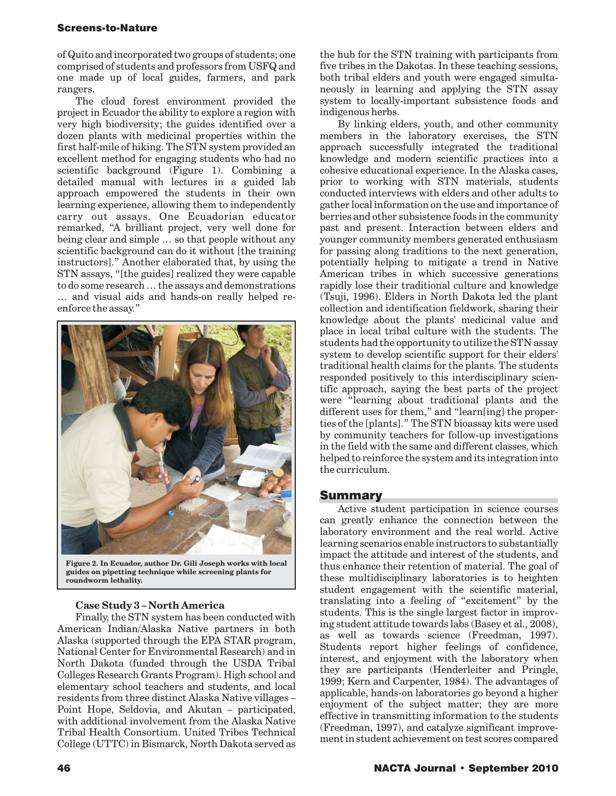of Quito and incorporated two groups of students; one comprised of students and professors from USFQ and one made up of local guides, farmers, and park rangers.

The cloud forest environment provided the project in Ecuador the ability to explore a region with very high biodiversity; the guides identified over a dozen plants with medicinal properties within the first half-mile of hiking. The STN system provided an excellent method for engaging students who had no scientific background (Figure 1). Combining a detailed manual with lectures in a guided lab approach empowered the students in their own learning experience, allowing them to independently carry out assays. One Ecuadorian educator remarked, "A brilliant project, very well done for being clear and simple … so that people without any scientific background can do it without [the training instructors]." Another elaborated that, by using the STN assays, "[the guides] realized they were capable to do some research … the assays and demonstrations … and visual aids and hands-on really helped reenforce the assay."



**Figure 2. In Ecuador, author Dr. Gili Joseph works with local guides on pipetting technique while screening plants for roundworm lethality.** 

#### **Case Study 3 – North America**

Finally, the STN system has been conducted with American Indian/Alaska Native partners in both Alaska (supported through the EPA STAR program, National Center for Environmental Research) and in North Dakota (funded through the USDA Tribal Colleges Research Grants Program). High school and elementary school teachers and students, and local residents from three distinct Alaska Native villages – Point Hope, Seldovia, and Akutan – participated, with additional involvement from the Alaska Native Tribal Health Consortium. United Tribes Technical College (UTTC) in Bismarck, North Dakota served as

the hub for the STN training with participants from five tribes in the Dakotas. In these teaching sessions, both tribal elders and youth were engaged simultaneously in learning and applying the STN assay system to locally-important subsistence foods and indigenous herbs.

By linking elders, youth, and other community members in the laboratory exercises, the STN approach successfully integrated the traditional knowledge and modern scientific practices into a cohesive educational experience. In the Alaska cases, prior to working with STN materials, students conducted interviews with elders and other adults to gather local information on the use and importance of berries and other subsistence foods in the community past and present. Interaction between elders and younger community members generated enthusiasm for passing along traditions to the next generation, potentially helping to mitigate a trend in Native American tribes in which successive generations rapidly lose their traditional culture and knowledge (Tsuji, 1996). Elders in North Dakota led the plant collection and identification fieldwork, sharing their knowledge about the plants' medicinal value and place in local tribal culture with the students. The students had the opportunity to utilize the STN assay system to develop scientific support for their elders' traditional health claims for the plants. The students responded positively to this interdisciplinary scientific approach, saying the best parts of the project were "learning about traditional plants and the different uses for them," and "learn[ing] the properties of the [plants]." The STN bioassay kits were used by community teachers for follow-up investigations in the field with the same and different classes, which helped to reinforce the system and its integration into the curriculum.

#### Summary

Active student participation in science courses can greatly enhance the connection between the laboratory environment and the real world. Active learning scenarios enable instructors to substantially impact the attitude and interest of the students, and thus enhance their retention of material. The goal of these multidisciplinary laboratories is to heighten student engagement with the scientific material, translating into a feeling of "excitement" by the students. This is the single largest factor in improving student attitude towards labs (Basey et al., 2008), as well as towards science (Freedman, 1997). Students report higher feelings of confidence, interest, and enjoyment with the laboratory when they are participants (Henderleiter and Pringle, 1999; Kern and Carpenter, 1984). The advantages of applicable, hands-on laboratories go beyond a higher enjoyment of the subject matter; they are more effective in transmitting information to the students (Freedman, 1997), and catalyze significant improvement in student achievement on test scores compared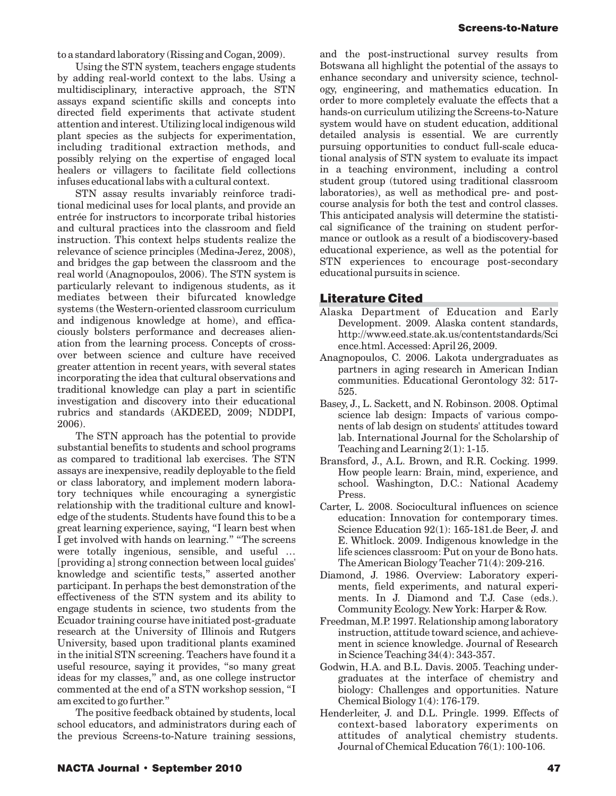to a standard laboratory (Rissing and Cogan, 2009).

Using the STN system, teachers engage students by adding real-world context to the labs. Using a multidisciplinary, interactive approach, the STN assays expand scientific skills and concepts into directed field experiments that activate student attention and interest. Utilizing local indigenous wild plant species as the subjects for experimentation, including traditional extraction methods, and possibly relying on the expertise of engaged local healers or villagers to facilitate field collections infuses educational labs with a cultural context.

STN assay results invariably reinforce traditional medicinal uses for local plants, and provide an entrée for instructors to incorporate tribal histories and cultural practices into the classroom and field instruction. This context helps students realize the relevance of science principles (Medina-Jerez, 2008), and bridges the gap between the classroom and the real world (Anagnopoulos, 2006). The STN system is particularly relevant to indigenous students, as it mediates between their bifurcated knowledge systems (the Western-oriented classroom curriculum and indigenous knowledge at home), and efficaciously bolsters performance and decreases alienation from the learning process. Concepts of crossover between science and culture have received greater attention in recent years, with several states incorporating the idea that cultural observations and traditional knowledge can play a part in scientific investigation and discovery into their educational rubrics and standards (AKDEED, 2009; NDDPI, 2006).

The STN approach has the potential to provide substantial benefits to students and school programs as compared to traditional lab exercises. The STN assays are inexpensive, readily deployable to the field or class laboratory, and implement modern laboratory techniques while encouraging a synergistic relationship with the traditional culture and knowledge of the students. Students have found this to be a great learning experience, saying, "I learn best when I get involved with hands on learning." "The screens were totally ingenious, sensible, and useful … [providing a] strong connection between local guides' knowledge and scientific tests," asserted another participant. In perhaps the best demonstration of the effectiveness of the STN system and its ability to engage students in science, two students from the Ecuador training course have initiated post-graduate research at the University of Illinois and Rutgers University, based upon traditional plants examined in the initial STN screening. Teachers have found it a useful resource, saying it provides, "so many great ideas for my classes," and, as one college instructor commented at the end of a STN workshop session, "I am excited to go further."

The positive feedback obtained by students, local school educators, and administrators during each of the previous Screens-to-Nature training sessions,

and the post-instructional survey results from Botswana all highlight the potential of the assays to enhance secondary and university science, technology, engineering, and mathematics education. In order to more completely evaluate the effects that a hands-on curriculum utilizing the Screens-to-Nature system would have on student education, additional detailed analysis is essential. We are currently pursuing opportunities to conduct full-scale educational analysis of STN system to evaluate its impact in a teaching environment, including a control student group (tutored using traditional classroom laboratories), as well as methodical pre- and postcourse analysis for both the test and control classes. This anticipated analysis will determine the statistical significance of the training on student performance or outlook as a result of a biodiscovery-based educational experience, as well as the potential for STN experiences to encourage post-secondary educational pursuits in science.

# Literature Cited

- Alaska Department of Education and Early Development. 2009. Alaska content standards, <http://www.eed.state.ak.us/contentstandards/Sci> ence.html. Accessed: April 26, 2009.
- Anagnopoulos, C. 2006. Lakota undergraduates as partners in aging research in American Indian communities. Educational Gerontology 32: 517- 525.
- Basey, J., L. Sackett, and N. Robinson. 2008. Optimal science lab design: Impacts of various components of lab design on students' attitudes toward lab. International Journal for the Scholarship of Teaching and Learning 2(1): 1-15.
- Bransford, J., A.L. Brown, and R.R. Cocking. 1999. How people learn: Brain, mind, experience, and school. Washington, D.C.: National Academy Press.
- Carter, L. 2008. Sociocultural influences on science education: Innovation for contemporary times. Science Education 92(1): [165-181.de](https://165-181.de) Beer, J. and E. Whitlock. 2009. Indigenous knowledge in the life sciences classroom: Put on your de Bono hats. The American Biology Teacher 71(4): 209-216.
- Diamond, J. 1986. Overview: Laboratory experiments, field experiments, and natural experiments. In J. Diamond and T.J. Case (eds.). Community Ecology. New York: Harper & Row.
- Freedman, M.P. 1997. Relationship among laboratory instruction, attitude toward science, and achievement in science knowledge. Journal of Research in Science Teaching 34(4): 343-357.
- Godwin, H.A. and B.L. Davis. 2005. Teaching undergraduates at the interface of chemistry and biology: Challenges and opportunities. Nature Chemical Biology 1(4): 176-179.
- Henderleiter, J. and D.L. Pringle. 1999. Effects of context-based laboratory experiments on attitudes of analytical chemistry students. Journal of Chemical Education 76(1): 100-106.